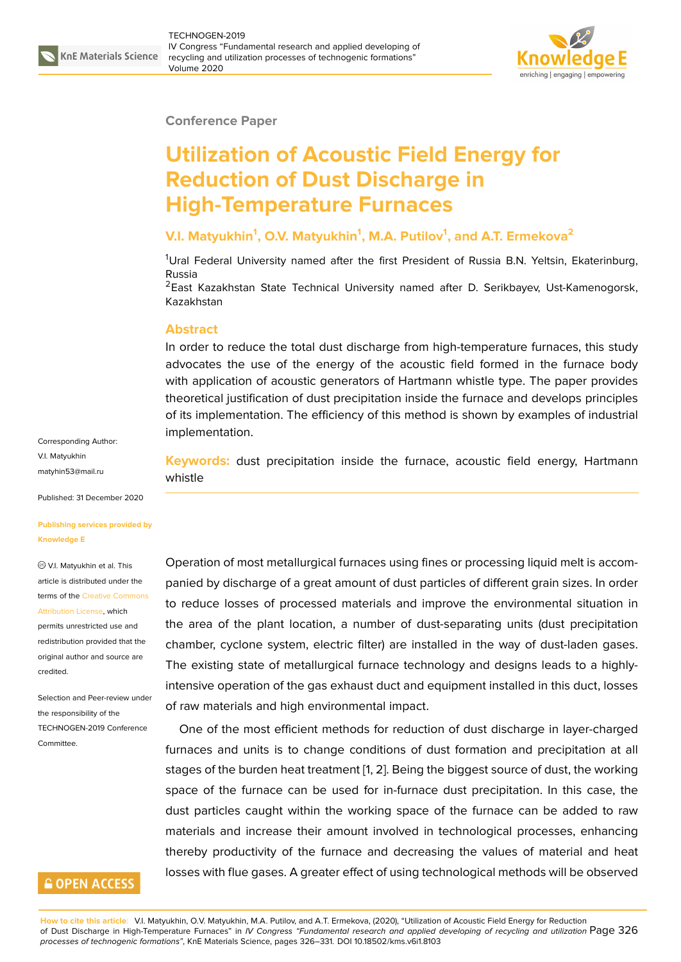

#### **Conference Paper**

# **Utilization of Acoustic Field Energy for Reduction of Dust Discharge in High-Temperature Furnaces**

## **V.I. Matyukhin<sup>1</sup> , O.V. Matyukhin<sup>1</sup> , M.A. Putilov<sup>1</sup> , and A.T. Ermekova<sup>2</sup>**

<sup>1</sup>Ural Federal University named after the first President of Russia B.N. Yeltsin, Ekaterinburg, Russia

<sup>2</sup>East Kazakhstan State Technical University named after D. Serikbayev, Ust-Kamenogorsk, Kazakhstan

## **Abstract**

In order to reduce the total dust discharge from high-temperature furnaces, this study advocates the use of the energy of the acoustic field formed in the furnace body with application of acoustic generators of Hartmann whistle type. The paper provides theoretical justification of dust precipitation inside the furnace and develops principles of its implementation. The efficiency of this method is shown by examples of industrial implementation.

Corresponding Author: V.I. Matyukhin matyhin53@mail.ru

Published: 31 December 2020

#### **[Publishing services](mailto:matyhin53@mail.ru) provided by Knowledge E**

### V.I. Matyukhin et al. This article is distributed under the terms of the Creative Commons Attribution License, which

permits unrestricted use and redistribution provided that the original auth[or and source are](https://creativecommons.org/licenses/by/4.0/) [credited.](https://creativecommons.org/licenses/by/4.0/)

Selection and Peer-review under the responsibility of the TECHNOGEN-2019 Conference Committee.

## **GOPEN ACCESS**

**Keywords:** dust precipitation inside the furnace, acoustic field energy, Hartmann whistle

Operation of most metallurgical furnaces using fines or processing liquid melt is accompanied by discharge of a great amount of dust particles of different grain sizes. In order to reduce losses of processed materials and improve the environmental situation in the area of the plant location, a number of dust-separating units (dust precipitation chamber, cyclone system, electric filter) are installed in the way of dust-laden gases. The existing state of metallurgical furnace technology and designs leads to a highlyintensive operation of the gas exhaust duct and equipment installed in this duct, losses of raw materials and high environmental impact.

One of the most efficient methods for reduction of dust discharge in layer-charged furnaces and units is to change conditions of dust formation and precipitation at all stages of the burden heat treatment [1, 2]. Being the biggest source of dust, the working space of the furnace can be used for in-furnace dust precipitation. In this case, the dust particles caught within the working space of the furnace can be added to raw materials and increase their amoun[t](#page-5-0) i[nv](#page-5-1)olved in technological processes, enhancing thereby productivity of the furnace and decreasing the values of material and heat losses with flue gases. A greater effect of using technological methods will be observed

**How to cite this article**: V.I. Matyukhin, O.V. Matyukhin, M.A. Putilov, and A.T. Ermekova, (2020), "Utilization of Acoustic Field Energy for Reduction of Dust Discharge in High-Temperature Furnaces" in *IV Congress "Fundamental research and applied developing of recycling and utilization* Page 326 *processes of technogenic formations"*, KnE Materials Science, pages 326–331. DOI 10.18502/kms.v6i1.8103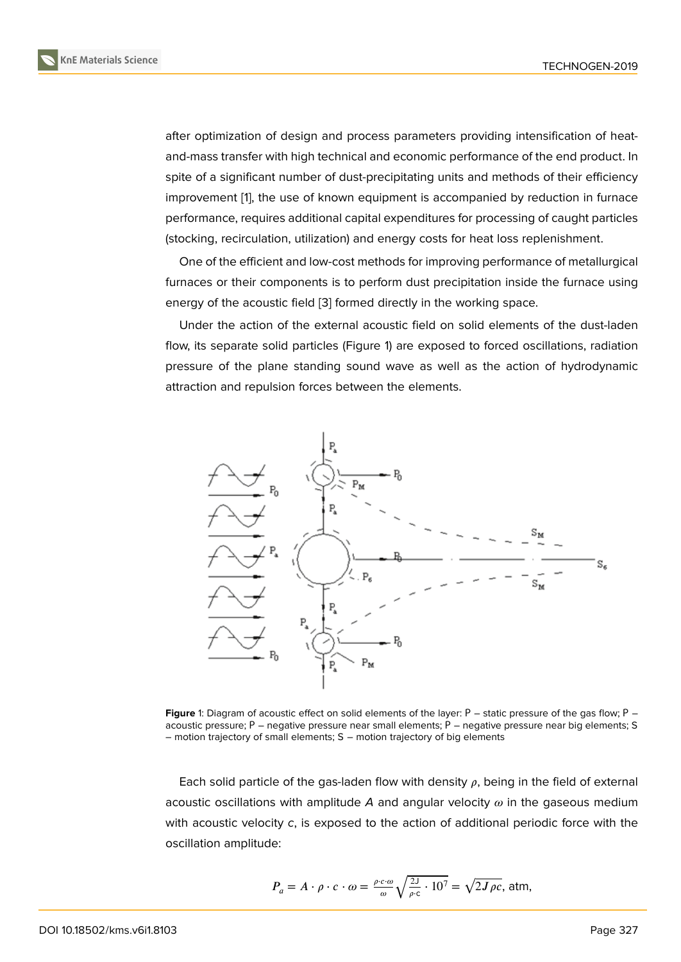after optimization of design and process parameters providing intensification of heatand-mass transfer with high technical and economic performance of the end product. In spite of a significant number of dust-precipitating units and methods of their efficiency improvement [1], the use of known equipment is accompanied by reduction in furnace performance, requires additional capital expenditures for processing of caught particles (stocking, recirculation, utilization) and energy costs for heat loss replenishment.

One of the [ef](#page-5-0)ficient and low-cost methods for improving performance of metallurgical furnaces or their components is to perform dust precipitation inside the furnace using energy of the acoustic field [3] formed directly in the working space.

Under the action of the external acoustic field on solid elements of the dust-laden flow, its separate solid particles (Figure 1) are exposed to forced oscillations, radiation pressure of the plane stan[din](#page-5-2)g sound wave as well as the action of hydrodynamic attraction and repulsion forces between the elements.



**Figure** 1: Diagram of acoustic effect on solid elements of the layer: Р – static pressure of the gas flow; Р – acoustic pressure;  $P$  – negative pressure near small elements;  $P$  – negative pressure near big elements; S – motion trajectory of small elements; S – motion trajectory of big elements

Each solid particle of the gas-laden flow with density  $\rho$ , being in the field of external acoustic oscillations with amplitude  $A$  and angular velocity  $\omega$  in the gaseous medium with acoustic velocity *c*, is exposed to the action of additional periodic force with the oscillation amplitude:

$$
P_a = A \cdot \rho \cdot c \cdot \omega = \frac{\rho \cdot c \cdot \omega}{\omega} \sqrt{\frac{2J}{\rho \cdot c} \cdot 10^7} = \sqrt{2J \rho c}, \text{ atm},
$$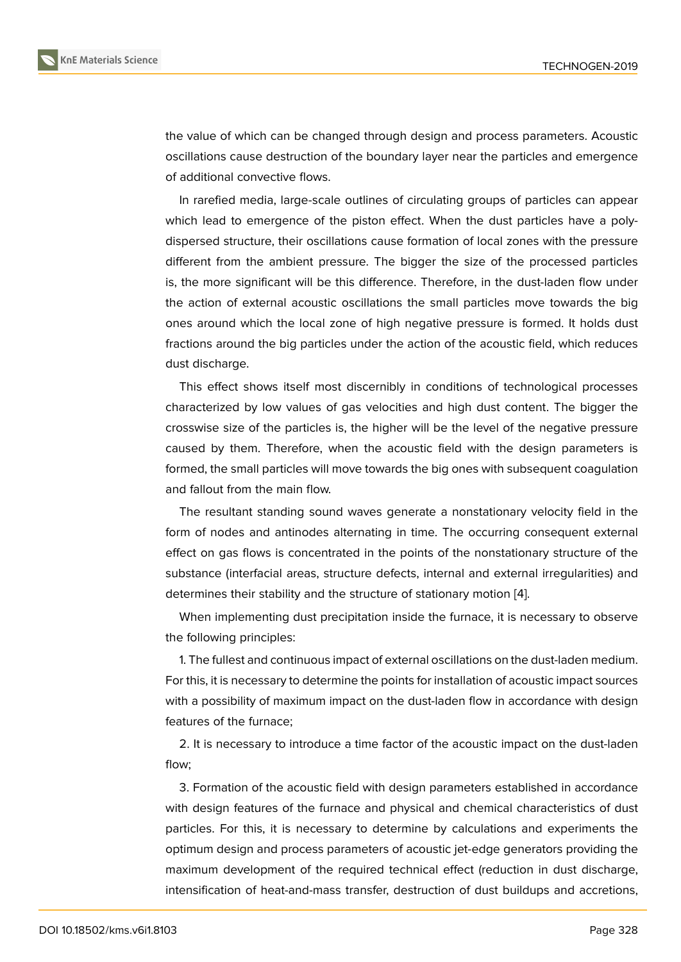the value of which can be changed through design and process parameters. Acoustic oscillations cause destruction of the boundary layer near the particles and emergence of additional convective flows.

In rarefied media, large-scale outlines of circulating groups of particles can appear which lead to emergence of the piston effect. When the dust particles have a polydispersed structure, their oscillations cause formation of local zones with the pressure different from the ambient pressure. The bigger the size of the processed particles is, the more significant will be this difference. Therefore, in the dust-laden flow under the action of external acoustic oscillations the small particles move towards the big ones around which the local zone of high negative pressure is formed. It holds dust fractions around the big particles under the action of the acoustic field, which reduces dust discharge.

This effect shows itself most discernibly in conditions of technological processes characterized by low values of gas velocities and high dust content. The bigger the crosswise size of the particles is, the higher will be the level of the negative pressure caused by them. Therefore, when the acoustic field with the design parameters is formed, the small particles will move towards the big ones with subsequent coagulation and fallout from the main flow.

The resultant standing sound waves generate a nonstationary velocity field in the form of nodes and antinodes alternating in time. The occurring consequent external effect on gas flows is concentrated in the points of the nonstationary structure of the substance (interfacial areas, structure defects, internal and external irregularities) and determines their stability and the structure of stationary motion [4].

When implementing dust precipitation inside the furnace, it is necessary to observe the following principles:

1. The fullest and continuous impact of external oscillations on t[he](#page-5-3) dust-laden medium. For this, it is necessary to determine the points for installation of acoustic impact sources with a possibility of maximum impact on the dust-laden flow in accordance with design features of the furnace;

2. It is necessary to introduce a time factor of the acoustic impact on the dust-laden flow;

3. Formation of the acoustic field with design parameters established in accordance with design features of the furnace and physical and chemical characteristics of dust particles. For this, it is necessary to determine by calculations and experiments the optimum design and process parameters of acoustic jet-edge generators providing the maximum development of the required technical effect (reduction in dust discharge, intensification of heat-and-mass transfer, destruction of dust buildups and accretions,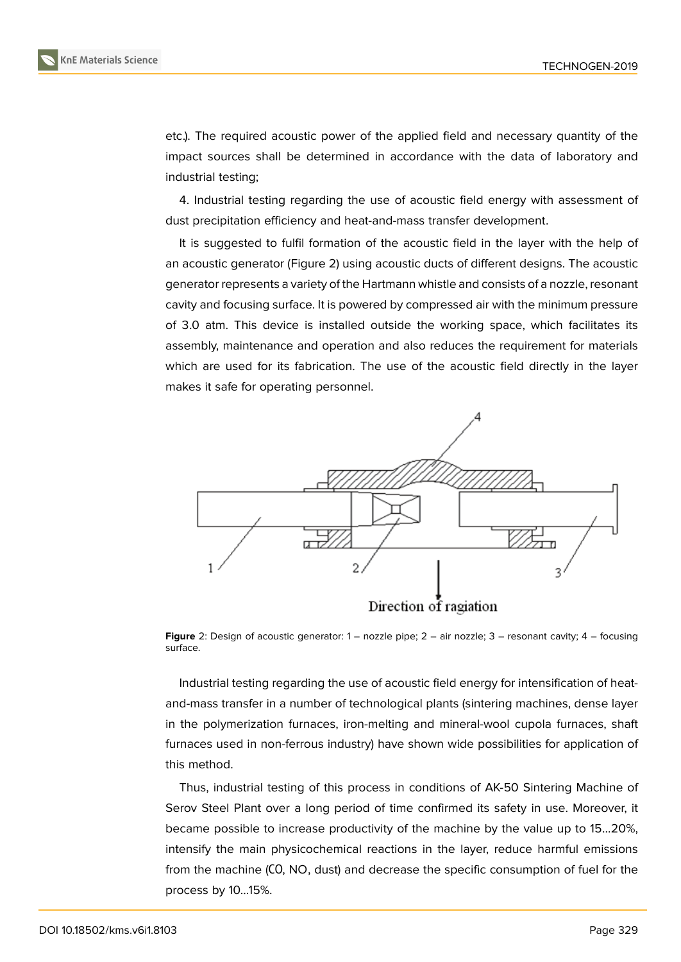etc.). The required acoustic power of the applied field and necessary quantity of the impact sources shall be determined in accordance with the data of laboratory and industrial testing;

4. Industrial testing regarding the use of acoustic field energy with assessment of dust precipitation efficiency and heat-and-mass transfer development.

It is suggested to fulfil formation of the acoustic field in the layer with the help of an acoustic generator (Figure 2) using acoustic ducts of different designs. The acoustic generator represents a variety of the Hartmann whistle and consists of a nozzle, resonant cavity and focusing surface. It is powered by compressed air with the minimum pressure of 3.0 atm. This device is in[st](#page-3-0)alled outside the working space, which facilitates its assembly, maintenance and operation and also reduces the requirement for materials which are used for its fabrication. The use of the acoustic field directly in the layer makes it safe for operating personnel.



**Figure** 2: Design of acoustic generator: 1 – nozzle pipe; 2 – air nozzle; 3 – resonant cavity; 4 – focusing surface.

<span id="page-3-0"></span>Industrial testing regarding the use of acoustic field energy for intensification of heatand-mass transfer in a number of technological plants (sintering machines, dense layer in the polymerization furnaces, iron-melting and mineral-wool cupola furnaces, shaft furnaces used in non-ferrous industry) have shown wide possibilities for application of this method.

Thus, industrial testing of this process in conditions of AK-50 Sintering Machine of Serov Steel Plant over a long period of time confirmed its safety in use. Moreover, it became possible to increase productivity of the machine by the value up to 15…20%, intensify the main physicochemical reactions in the layer, reduce harmful emissions from the machine (СО, NO, dust) and decrease the specific consumption of fuel for the process by 10…15%.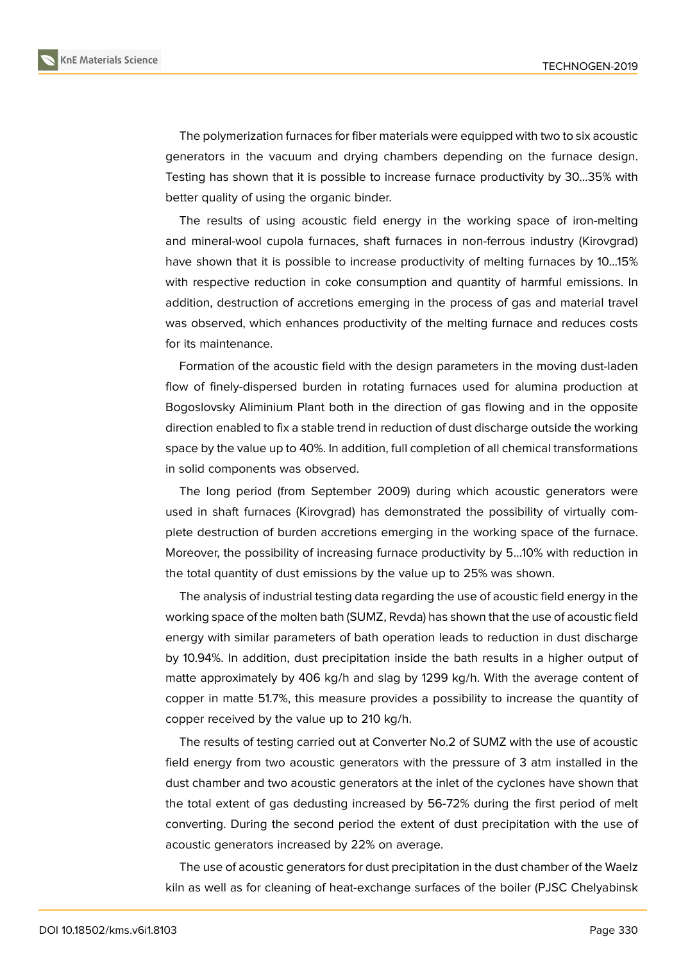

The polymerization furnaces for fiber materials were equipped with two to six acoustic generators in the vacuum and drying chambers depending on the furnace design. Testing has shown that it is possible to increase furnace productivity by 30…35% with better quality of using the organic binder.

The results of using acoustic field energy in the working space of iron-melting and mineral-wool cupola furnaces, shaft furnaces in non-ferrous industry (Kirovgrad) have shown that it is possible to increase productivity of melting furnaces by 10…15% with respective reduction in coke consumption and quantity of harmful emissions. In addition, destruction of accretions emerging in the process of gas and material travel was observed, which enhances productivity of the melting furnace and reduces costs for its maintenance.

Formation of the acoustic field with the design parameters in the moving dust-laden flow of finely-dispersed burden in rotating furnaces used for alumina production at Bogoslovsky Aliminium Plant both in the direction of gas flowing and in the opposite direction enabled to fix a stable trend in reduction of dust discharge outside the working space by the value up to 40%. In addition, full completion of all chemical transformations in solid components was observed.

The long period (from September 2009) during which acoustic generators were used in shaft furnaces (Kirovgrad) has demonstrated the possibility of virtually complete destruction of burden accretions emerging in the working space of the furnace. Moreover, the possibility of increasing furnace productivity by 5…10% with reduction in the total quantity of dust emissions by the value up to 25% was shown.

The analysis of industrial testing data regarding the use of acoustic field energy in the working space of the molten bath (SUMZ, Revda) has shown that the use of acoustic field energy with similar parameters of bath operation leads to reduction in dust discharge by 10.94%. In addition, dust precipitation inside the bath results in a higher output of matte approximately by 406 kg/h and slag by 1299 kg/h. With the average content of copper in matte 51.7%, this measure provides a possibility to increase the quantity of copper received by the value up to 210 kg/h.

The results of testing carried out at Converter No.2 of SUMZ with the use of acoustic field energy from two acoustic generators with the pressure of 3 atm installed in the dust chamber and two acoustic generators at the inlet of the cyclones have shown that the total extent of gas dedusting increased by 56-72% during the first period of melt converting. During the second period the extent of dust precipitation with the use of acoustic generators increased by 22% on average.

The use of acoustic generators for dust precipitation in the dust chamber of the Waelz kiln as well as for cleaning of heat-exchange surfaces of the boiler (PJSC Chelyabinsk